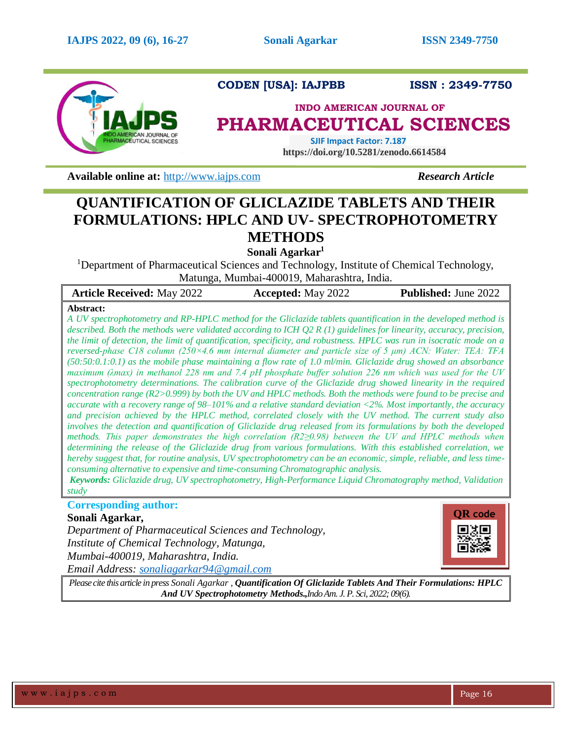

**CODEN [USA]: IAJPBB ISSN : 2349-7750**

# **INDO AMERICAN JOURNAL OF PHARMACEUTICAL SCIENCES**

 **SJIF Impact Factor: 7.187 https://doi.org/10.5281/zenodo.6614584**

**Available online at:** [http://www.iajps.com](http://www.iajps.com/) **Research Article** 

# **QUANTIFICATION OF GLICLAZIDE TABLETS AND THEIR FORMULATIONS: HPLC AND UV- SPECTROPHOTOMETRY METHODS**

**Sonali Agarkar<sup>1</sup>**

<sup>1</sup>Department of Pharmaceutical Sciences and Technology, Institute of Chemical Technology, Matunga, Mumbai-400019, Maharashtra, India.

| <b>Article Received: May 2022</b> | <b>Accepted:</b> May 2022 | <b>Published: June 2022</b> |
|-----------------------------------|---------------------------|-----------------------------|
|                                   |                           |                             |

# **Abstract:**

*A UV spectrophotometry and RP-HPLC method for the Gliclazide tablets quantification in the developed method is described. Both the methods were validated according to ICH Q2 R (1) guidelines for linearity, accuracy, precision, the limit of detection, the limit of quantification, specificity, and robustness. HPLC was run in isocratic mode on a reversed-phase C18 column (250×4.6 mm internal diameter and particle size of 5 μm) ACN: Water: TEA: TFA (50:50:0.1:0.1) as the mobile phase maintaining a flow rate of 1.0 ml/min. Gliclazide drug showed an absorbance maximum (λmax) in methanol 228 nm and 7.4 pH phosphate buffer solution 226 nm which was used for the UV spectrophotometry determinations. The calibration curve of the Gliclazide drug showed linearity in the required concentration range (R2>0.999) by both the UV and HPLC methods. Both the methods were found to be precise and accurate with a recovery range of 98–101% and a relative standard deviation <2%. Most importantly, the accuracy and precision achieved by the HPLC method, correlated closely with the UV method. The current study also involves the detection and quantification of Gliclazide drug released from its formulations by both the developed methods. This paper demonstrates the high correlation (R2≥0.98) between the UV and HPLC methods when determining the release of the Gliclazide drug from various formulations. With this established correlation, we hereby suggest that, for routine analysis, UV spectrophotometry can be an economic, simple, reliable, and less timeconsuming alternative to expensive and time-consuming Chromatographic analysis.*

*Keywords: Gliclazide drug, UV spectrophotometry, High-Performance Liquid Chromatography method, Validation study*

# **Corresponding author:**

# **Sonali Agarkar,**

*Department of Pharmaceutical Sciences and Technology, Institute of Chemical Technology, Matunga, Mumbai-400019, Maharashtra, India. Email Address: [sonaliagarkar94@gmail.com](mailto:sonaliagarkar94@gmail.com)*



*Please cite this article in press Sonali Agarkar , Quantification Of Gliclazide Tablets And Their Formulations: HPLC And UV Spectrophotometry Methods.,Indo Am. J. P. Sci, 2022; 09(6).*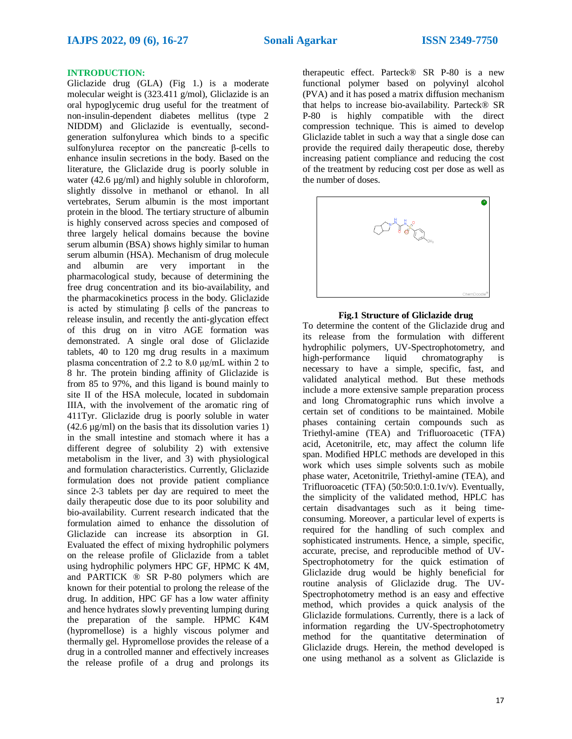#### **INTRODUCTION:**

Gliclazide drug (GLA) (Fig 1.) is a moderate molecular weight is (323.411 g/mol), Gliclazide is an oral hypoglycemic drug useful for the treatment of non-insulin-dependent diabetes mellitus (type 2 NIDDM) and Gliclazide is eventually, secondgeneration sulfonylurea which binds to a specific sulfonylurea receptor on the pancreatic β-cells to enhance insulin secretions in the body. Based on the literature, the Gliclazide drug is poorly soluble in water (42.6  $\mu$ g/ml) and highly soluble in chloroform, slightly dissolve in methanol or ethanol. In all vertebrates, Serum albumin is the most important protein in the blood. The tertiary structure of albumin is highly conserved across species and composed of three largely helical domains because the bovine serum albumin (BSA) shows highly similar to human serum albumin (HSA). Mechanism of drug molecule and albumin are very important in the pharmacological study, because of determining the free drug concentration and its bio-availability, and the pharmacokinetics process in the body. Gliclazide is acted by stimulating β cells of the pancreas to release insulin, and recently the anti-glycation effect of this drug on in vitro AGE formation was demonstrated. A single oral dose of Gliclazide tablets, 40 to 120 mg drug results in a maximum plasma concentration of 2.2 to 8.0 μg/mL within 2 to 8 hr. The protein binding affinity of Gliclazide is from 85 to 97%, and this ligand is bound mainly to site II of the HSA molecule, located in subdomain IIIA, with the involvement of the aromatic ring of 411Tyr. Gliclazide drug is poorly soluble in water  $(42.6 \text{ µg/ml})$  on the basis that its dissolution varies 1) in the small intestine and stomach where it has a different degree of solubility 2) with extensive metabolism in the liver, and 3) with physiological and formulation characteristics. Currently, Gliclazide formulation does not provide patient compliance since 2-3 tablets per day are required to meet the daily therapeutic dose due to its poor solubility and bio-availability. Current research indicated that the formulation aimed to enhance the dissolution of Gliclazide can increase its absorption in GI. Evaluated the effect of mixing hydrophilic polymers on the release profile of Gliclazide from a tablet using hydrophilic polymers HPC GF, HPMC K 4M, and PARTICK ® SR P-80 polymers which are known for their potential to prolong the release of the drug. In addition, HPC GF has a low water affinity and hence hydrates slowly preventing lumping during the preparation of the sample. HPMC K4M (hypromellose) is a highly viscous polymer and thermally gel. Hypromellose provides the release of a drug in a controlled manner and effectively increases the release profile of a drug and prolongs its

therapeutic effect. Parteck® SR P-80 is a new functional polymer based on polyvinyl alcohol (PVA) and it has posed a matrix diffusion mechanism that helps to increase bio-availability. Parteck® SR P-80 is highly compatible with the direct compression technique. This is aimed to develop Gliclazide tablet in such a way that a single dose can provide the required daily therapeutic dose, thereby increasing patient compliance and reducing the cost of the treatment by reducing cost per dose as well as the number of doses.



#### **Fig.1 Structure of Gliclazide drug**

To determine the content of the Gliclazide drug and its release from the formulation with different hydrophilic polymers, UV-Spectrophotometry, and high-performance liquid chromatography is necessary to have a simple, specific, fast, and validated analytical method. But these methods include a more extensive sample preparation process and long Chromatographic runs which involve a certain set of conditions to be maintained. Mobile phases containing certain compounds such as Triethyl-amine (TEA) and Trifluoroacetic (TFA) acid, Acetonitrile, etc, may affect the column life span. Modified HPLC methods are developed in this work which uses simple solvents such as mobile phase water, Acetonitrile, Triethyl-amine (TEA), and Trifluoroacetic (TFA) (50:50:0.1:0.1v/v). Eventually, the simplicity of the validated method, HPLC has certain disadvantages such as it being timeconsuming. Moreover, a particular level of experts is required for the handling of such complex and sophisticated instruments. Hence, a simple, specific, accurate, precise, and reproducible method of UV-Spectrophotometry for the quick estimation of Gliclazide drug would be highly beneficial for routine analysis of Gliclazide drug. The UV-Spectrophotometry method is an easy and effective method, which provides a quick analysis of the Gliclazide formulations. Currently, there is a lack of information regarding the UV-Spectrophotometry method for the quantitative determination of Gliclazide drugs. Herein, the method developed is one using methanol as a solvent as Gliclazide is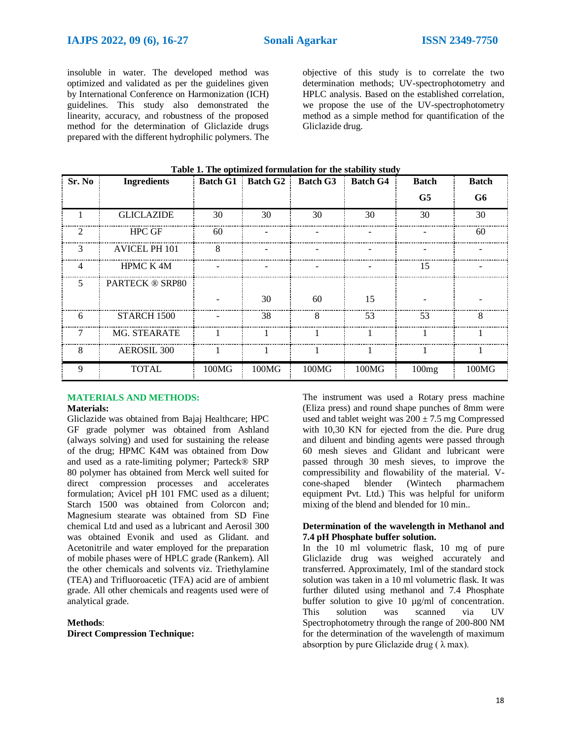insoluble in water. The developed method was optimized and validated as per the guidelines given by International Conference on Harmonization (ICH) guidelines. This study also demonstrated the linearity, accuracy, and robustness of the proposed method for the determination of Gliclazide drugs prepared with the different hydrophilic polymers. The

objective of this study is to correlate the two determination methods; UV-spectrophotometry and HPLC analysis. Based on the established correlation, we propose the use of the UV-spectrophotometry method as a simple method for quantification of the Gliclazide drug.

| Sr. No | <b>Ingredients</b>     | <b>Batch G1</b> | Batch G2 | <b>Batch G3</b> | <b>Batch G4</b> | <b>Batch</b>   | <b>Batch</b> |
|--------|------------------------|-----------------|----------|-----------------|-----------------|----------------|--------------|
|        |                        |                 |          |                 |                 | G <sub>5</sub> | G6           |
|        | <b>GLICLAZIDE</b>      | 30              | 30       | 30              | 30              | 30             | 30           |
| 2      | <b>HPC GF</b>          | 60              |          |                 |                 |                | 60           |
| 3      | AVICEL PH 101          | x               |          |                 |                 |                |              |
| 4      | <b>HPMC K4M</b>        |                 |          |                 |                 | 15             |              |
| 5.     | <b>PARTECK ® SRP80</b> |                 |          |                 |                 |                |              |
|        |                        |                 | 30       | 60              | 15              |                |              |
| 6      | STARCH 1500            |                 | 38       | 8               | 53              | 53             | x            |
|        | <b>MG. STEARATE</b>    |                 |          |                 |                 |                |              |
| 8      | <b>AEROSIL 300</b>     |                 |          |                 |                 |                |              |
| 9      | <b>TOTAL</b>           | 100MG           | 100MG    | 100MG           | 100MG           | 100mg          | 100MG        |

# **Table 1. The optimized formulation for the stability study**

#### **MATERIALS AND METHODS: Materials:**

Gliclazide was obtained from Bajaj Healthcare; HPC GF grade polymer was obtained from Ashland (always solving) and used for sustaining the release of the drug; HPMC K4M was obtained from Dow and used as a rate-limiting polymer; Parteck® SRP 80 polymer has obtained from Merck well suited for direct compression processes and accelerates formulation; Avicel pH 101 FMC used as a diluent; Starch 1500 was obtained from Colorcon and; Magnesium stearate was obtained from SD Fine chemical Ltd and used as a lubricant and Aerosil 300 was obtained Evonik and used as Glidant. and Acetonitrile and water employed for the preparation of mobile phases were of HPLC grade (Rankem). All the other chemicals and solvents viz. Triethylamine (TEA) and Trifluoroacetic (TFA) acid are of ambient grade. All other chemicals and reagents used were of analytical grade.

#### **Methods**:

**Direct Compression Technique:**

The instrument was used a Rotary press machine (Eliza press) and round shape punches of 8mm were used and tablet weight was  $200 \pm 7.5$  mg Compressed with 10,30 KN for ejected from the die. Pure drug and diluent and binding agents were passed through 60 mesh sieves and Glidant and lubricant were passed through 30 mesh sieves, to improve the compressibility and flowability of the material. Vcone-shaped blender (Wintech pharmachem equipment Pvt. Ltd.) This was helpful for uniform mixing of the blend and blended for 10 min..

#### **Determination of the wavelength in Methanol and 7.4 pH Phosphate buffer solution.**

In the 10 ml volumetric flask, 10 mg of pure Gliclazide drug was weighed accurately and transferred. Approximately, 1ml of the standard stock solution was taken in a 10 ml volumetric flask. It was further diluted using methanol and 7.4 Phosphate buffer solution to give 10 µg/ml of concentration.<br>This solution was scanned via UV solution was scanned via UV Spectrophotometry through the range of 200-800 NM for the determination of the wavelength of maximum absorption by pure Gliclazide drug  $(\lambda \max)$ .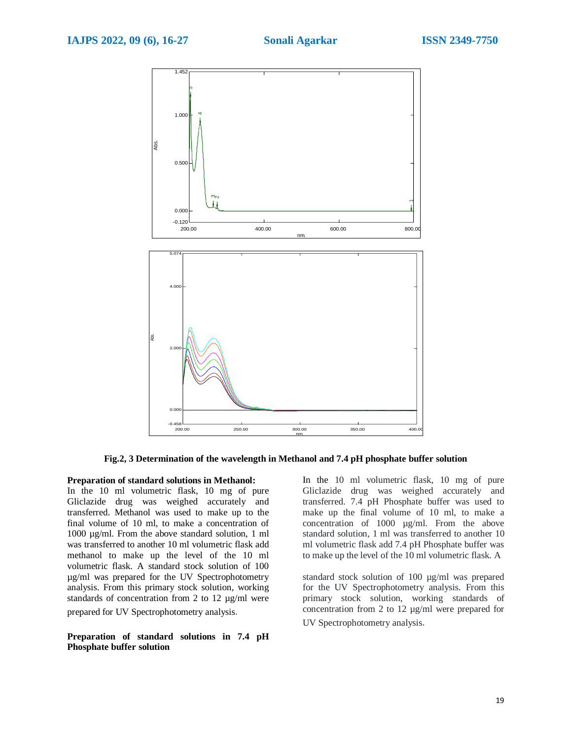

**Fig.2, 3 Determination of the wavelength in Methanol and 7.4 pH phosphate buffer solution**

### **Preparation of standard solutions in Methanol:**

In the 10 ml volumetric flask, 10 mg of pure Gliclazide drug was weighed accurately and transferred. Methanol was used to make up to the final volume of 10 ml, to make a concentration of 1000 µg/ml. From the above standard solution, 1 ml was transferred to another 10 ml volumetric flask add methanol to make up the level of the 10 ml volumetric flask. A standard stock solution of 100 µg/ml was prepared for the UV Spectrophotometry analysis. From this primary stock solution, working standards of concentration from 2 to 12 µg/ml were prepared for UV Spectrophotometry analysis.

**Preparation of standard solutions in 7.4 pH Phosphate buffer solution**

In the 10 ml volumetric flask, 10 mg of pure Gliclazide drug was weighed accurately and transferred. 7.4 pH Phosphate buffer was used to make up the final volume of 10 ml, to make a concentration of 1000 µg/ml. From the above standard solution, 1 ml was transferred to another 10 ml volumetric flask add 7.4 pH Phosphate buffer was to make up the level of the 10 ml volumetric flask. A

standard stock solution of 100 µg/ml was prepared for the UV Spectrophotometry analysis. From this primary stock solution, working standards of concentration from 2 to 12 µg/ml were prepared for

UV Spectrophotometry analysis.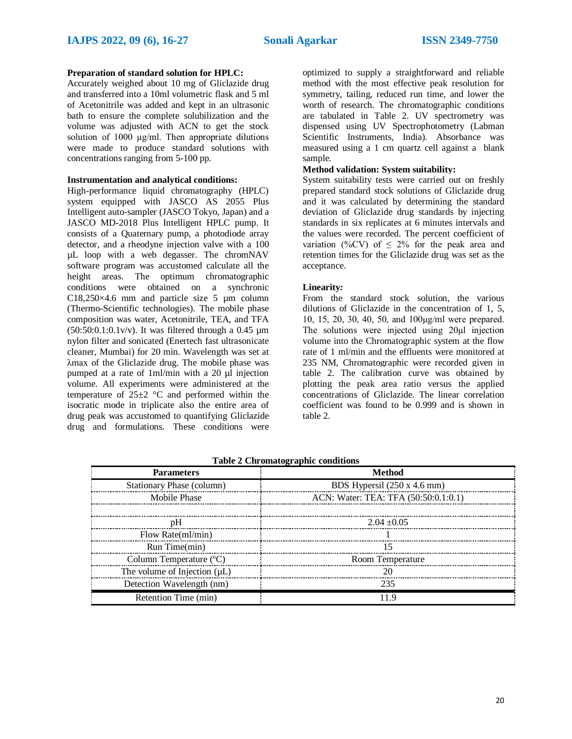# **Preparation of standard solution for HPLC:**

Accurately weighed about 10 mg of Gliclazide drug and transferred into a 10ml volumetric flask and 5 ml of Acetonitrile was added and kept in an ultrasonic bath to ensure the complete solubilization and the volume was adjusted with ACN to get the stock solution of 1000 μg/ml. Then appropriate dilutions were made to produce standard solutions with concentrations ranging from 5-100 pp.

### **Instrumentation and analytical conditions:**

High-performance liquid chromatography (HPLC) system equipped with JASCO AS 2055 Plus Intelligent auto-sampler (JASCO Tokyo, Japan) and a JASCO MD-2018 Plus Intelligent HPLC pump. It consists of a Quaternary pump, a photodiode array detector, and a rheodyne injection valve with a 100 µL loop with a web degasser. The chromNAV software program was accustomed calculate all the height areas. The optimum chromatographic conditions were obtained on a synchronic C18,250 $\times$ 4.6 mm and particle size 5 µm column (Thermo-Scientific technologies). The mobile phase composition was water, Acetonitrile, TEA, and TFA  $(50:50:0.1:0.1v/v)$ . It was filtered through a 0.45 um nylon filter and sonicated (Enertech fast ultrasonicate cleaner, Mumbai) for 20 min. Wavelength was set at λmax of the Gliclazide drug. The mobile phase was pumped at a rate of 1ml/min with a 20 µl injection volume. All experiments were administered at the temperature of  $25\pm2$  °C and performed within the isocratic mode in triplicate also the entire area of drug peak was accustomed to quantifying Gliclazide drug and formulations. These conditions were

optimized to supply a straightforward and reliable method with the most effective peak resolution for symmetry, tailing, reduced run time, and lower the worth of research. The chromatographic conditions are tabulated in Table 2. UV spectrometry was dispensed using UV Spectrophotometry (Labman Scientific Instruments, India). Absorbance was measured using a 1 cm quartz cell against a blank sample.

# **Method validation: System suitability:**

System suitability tests were carried out on freshly prepared standard stock solutions of Gliclazide drug and it was calculated by determining the standard deviation of Gliclazide drug standards by injecting standards in six replicates at 6 minutes intervals and the values were recorded. The percent coefficient of variation (%CV) of  $\leq$  2% for the peak area and retention times for the Gliclazide drug was set as the acceptance.

#### **Linearity***:*

From the standard stock solution, the various dilutions of Gliclazide in the concentration of 1, 5, 10, 15, 20, 30, 40, 50, and 100μg/ml were prepared. The solutions were injected using 20μl injection volume into the Chromatographic system at the flow rate of 1 ml/min and the effluents were monitored at 235 NM, Chromatographic were recorded given in table 2. The calibration curve was obtained by plotting the peak area ratio versus the applied concentrations of Gliclazide. The linear correlation coefficient was found to be 0.999 and is shown in table 2.

| <b>Parameters</b>                 | 0<br>Method                          |
|-----------------------------------|--------------------------------------|
| Stationary Phase (column)         | BDS Hypersil (250 x 4.6 mm)          |
| Mobile Phase                      | ACN: Water: TEA: TFA (50:50:0.1:0.1) |
|                                   |                                      |
| nН                                | $2.04 + 0.05$                        |
| Flow Rate(ml/min)                 |                                      |
| Run Time(min)                     | 15                                   |
| Column Temperature $(^{\circ}C)$  | Room Temperature                     |
| The volume of Injection $(\mu L)$ |                                      |
| Detection Wavelength (nm)         | 235                                  |
| Retention Time (min)              |                                      |

**Table 2 Chromatographic conditions**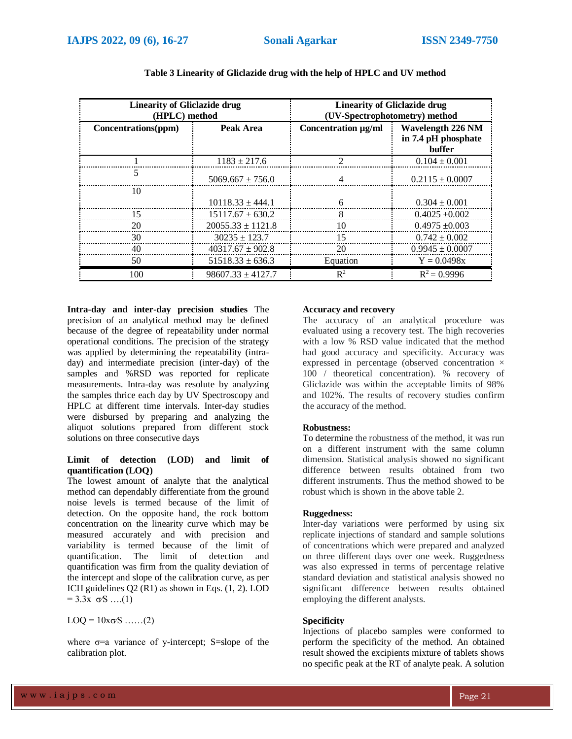| <b>Linearity of Gliclazide drug</b><br>(HPLC) method |                       | <b>Linearity of Gliclazide drug</b><br>(UV-Spectrophotometry) method |                                                           |  |
|------------------------------------------------------|-----------------------|----------------------------------------------------------------------|-----------------------------------------------------------|--|
| Concentrations(ppm)                                  | Peak Area             | Concentration $\mu$ g/ml $\pm$                                       | Wavelength 226 NM<br>in 7.4 pH phosphate<br><b>buffer</b> |  |
|                                                      | $1183 \pm 217.6$      |                                                                      | $0.104 \pm 0.001$                                         |  |
|                                                      | $5069.667 + 756.0$    |                                                                      | $0.2115 \pm 0.0007$                                       |  |
| 10                                                   | $10118.33 + 444.1$    |                                                                      | $0.304 \pm 0.001$                                         |  |
|                                                      | $15117.67 \pm 630.2$  |                                                                      | $0.4025 + 0.002$                                          |  |
| 20                                                   | $20055.33 \pm 1121.8$ | 10                                                                   | $0.4975 \pm 0.003$                                        |  |
| 30                                                   | $30235 + 123.7$       | 15                                                                   | $0.742 + 0.002$                                           |  |
|                                                      | $40317.67 \pm 902.8$  | 20                                                                   | $0.9945 \pm 0.0007$                                       |  |
| 50                                                   | $51518.33 \pm 636.3$  | Equation                                                             | $Y = 0.0498x$                                             |  |
| 100                                                  | $98607.33 \pm 4127.7$ | $\mathbb{R}^2$                                                       | $R^2 = 0.9996$                                            |  |

| Table 3 Linearity of Gliclazide drug with the help of HPLC and UV method |
|--------------------------------------------------------------------------|
|--------------------------------------------------------------------------|

**Intra-day and inter-day precision studies** The precision of an analytical method may be defined because of the degree of repeatability under normal operational conditions. The precision of the strategy was applied by determining the repeatability (intraday) and intermediate precision (inter-day) of the samples and %RSD was reported for replicate measurements. Intra-day was resolute by analyzing the samples thrice each day by UV Spectroscopy and HPLC at different time intervals. Inter-day studies were disbursed by preparing and analyzing the aliquot solutions prepared from different stock solutions on three consecutive days

# **Limit of detection (LOD) and limit of quantification (LOQ)**

The lowest amount of analyte that the analytical method can dependably differentiate from the ground noise levels is termed because of the limit of detection. On the opposite hand, the rock bottom concentration on the linearity curve which may be measured accurately and with precision and variability is termed because of the limit of quantification. The limit of detection and quantification was firm from the quality deviation of the intercept and slope of the calibration curve, as per ICH guidelines Q2 (R1) as shown in Eqs. (1, 2). LOD  $= 3.3x \sigma S$  ….(1)

 $LOQ = 10x\sigma S$  ……(2)

where  $\sigma$ =a variance of y-intercept; S=slope of the calibration plot.

# **Accuracy and recovery**

The accuracy of an analytical procedure was evaluated using a recovery test. The high recoveries with a low % RSD value indicated that the method had good accuracy and specificity. Accuracy was expressed in percentage (observed concentration  $\times$ 100 / theoretical concentration). % recovery of Gliclazide was within the acceptable limits of 98% and 102%. The results of recovery studies confirm the accuracy of the method.

# **Robustness:**

To determine the robustness of the method, it was run on a different instrument with the same column dimension. Statistical analysis showed no significant difference between results obtained from two different instruments. Thus the method showed to be robust which is shown in the above table 2.

# **Ruggedness:**

Inter-day variations were performed by using six replicate injections of standard and sample solutions of concentrations which were prepared and analyzed on three different days over one week. Ruggedness was also expressed in terms of percentage relative standard deviation and statistical analysis showed no significant difference between results obtained employing the different analysts.

# **Specificity**

Injections of placebo samples were conformed to perform the specificity of the method. An obtained result showed the excipients mixture of tablets shows no specific peak at the RT of analyte peak. A solution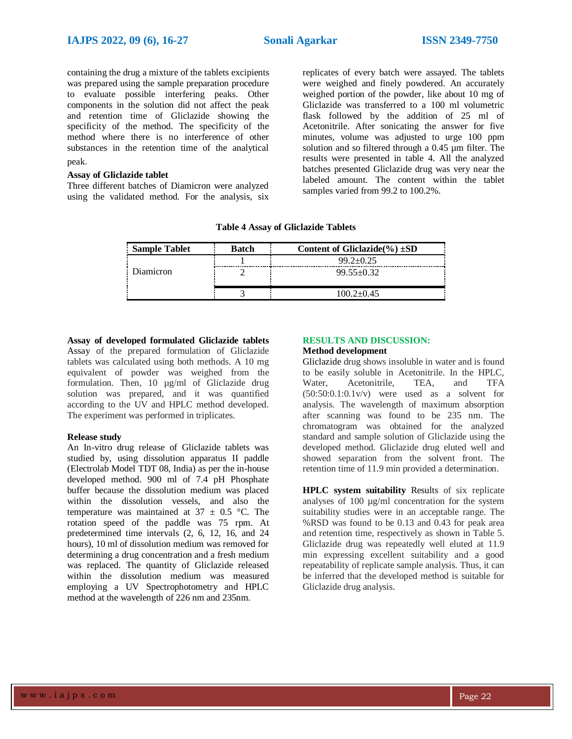containing the drug a mixture of the tablets excipients was prepared using the sample preparation procedure to evaluate possible interfering peaks. Other components in the solution did not affect the peak and retention time of Gliclazide showing the specificity of the method. The specificity of the method where there is no interference of other substances in the retention time of the analytical

# peak.

# **Assay of Gliclazide tablet**

Three different batches of Diamicron were analyzed using the validated method. For the analysis, six

replicates of every batch were assayed. The tablets were weighed and finely powdered. An accurately weighed portion of the powder, like about 10 mg of Gliclazide was transferred to a 100 ml volumetric flask followed by the addition of 25 ml of Acetonitrile. After sonicating the answer for five minutes, volume was adjusted to urge 100 ppm solution and so filtered through a 0.45 µm filter. The results were presented in table 4. All the analyzed batches presented Gliclazide drug was very near the labeled amount. The content within the tablet samples varied from 99.2 to 100.2%.

|  |  | <b>Table 4 Assay of Gliclazide Tablets</b> |  |
|--|--|--------------------------------------------|--|
|--|--|--------------------------------------------|--|

| <b>Sample Tablet</b> | <b>Batch</b> | Content of Gliclazide(%) $\pm SD$ |
|----------------------|--------------|-----------------------------------|
|                      |              | $99.2 + 0.25$                     |
| Diamicron            |              | $99.55 \pm 0.32$                  |
|                      |              | $100.2 \pm 0.45$                  |

**Assay of developed formulated Gliclazide tablets**  Assay of the prepared formulation of Gliclazide tablets was calculated using both methods. A 10 mg equivalent of powder was weighed from the formulation. Then, 10 µg/ml of Gliclazide drug solution was prepared, and it was quantified according to the UV and HPLC method developed. The experiment was performed in triplicates.

## **Release study**

An In-vitro drug release of Gliclazide tablets was studied by, using dissolution apparatus II paddle (Electrolab Model TDT 08, India) as per the in-house developed method. 900 ml of 7.4 pH Phosphate buffer because the dissolution medium was placed within the dissolution vessels, and also the temperature was maintained at  $37 \pm 0.5$  °C. The rotation speed of the paddle was 75 rpm. At predetermined time intervals (2, 6, 12, 16, and 24 hours), 10 ml of dissolution medium was removed for determining a drug concentration and a fresh medium was replaced. The quantity of Gliclazide released within the dissolution medium was measured employing a UV Spectrophotometry and HPLC method at the wavelength of 226 nm and 235nm.

# **RESULTS AND DISCUSSION:**

#### **Method development**

Gliclazide drug shows insoluble in water and is found to be easily soluble in Acetonitrile. In the HPLC, Water, Acetonitrile, TEA, and TFA  $(50:50:0.1:0.1v/v)$  were used as a solvent for analysis. The wavelength of maximum absorption after scanning was found to be 235 nm. The chromatogram was obtained for the analyzed standard and sample solution of Gliclazide using the developed method. Gliclazide drug eluted well and showed separation from the solvent front. The retention time of 11.9 min provided a determination.

**HPLC system suitability** Results of six replicate analyses of 100 µg/ml concentration for the system suitability studies were in an acceptable range. The %RSD was found to be 0.13 and 0.43 for peak area and retention time, respectively as shown in Table 5. Gliclazide drug was repeatedly well eluted at 11.9 min expressing excellent suitability and a good repeatability of replicate sample analysis. Thus, it can be inferred that the developed method is suitable for Gliclazide drug analysis.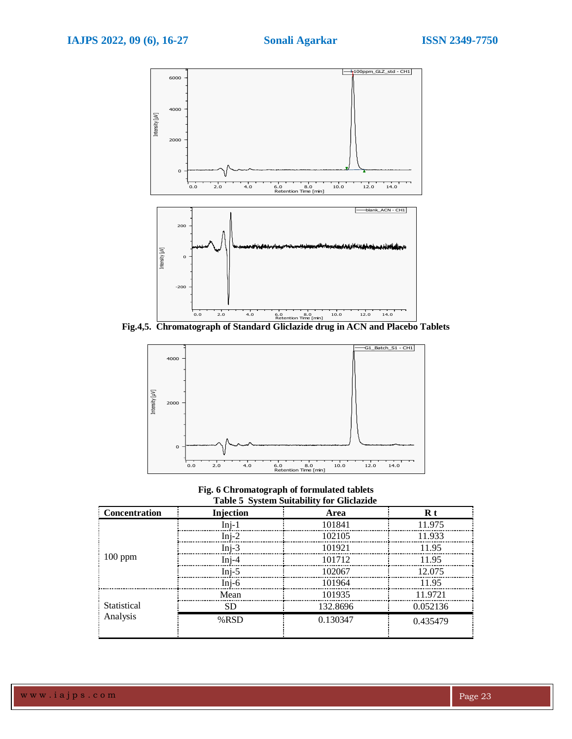

**Fig.4,5. Chromatograph of Standard Gliclazide drug in ACN and Placebo Tablets**



**Fig. 6 Chromatograph of formulated tablets Table 5 System Suitability for Gliclazide**

| <b>Concentration</b>    | Injection | Tubic & Dysicin Dunubine, for Onchange<br>Area | $R t$    |
|-------------------------|-----------|------------------------------------------------|----------|
|                         | $Inj-1$   | 101841                                         | 11.975   |
| $100$ ppm               | $Ini-2$   | 102105                                         | 11.933   |
|                         | $Ini-3$   | 101921                                         | 1195     |
|                         | $Ini-4$   | 101712                                         | 11.95    |
|                         | $Ini-5$   | 102067                                         | 12.075   |
|                         | $Inj-6$   | 101964                                         | 11.95    |
|                         | Mean      | 101935                                         | 11 9721  |
| Statistical<br>Analysis | SD        | 132.8696                                       | 0.052136 |
|                         | % RSD     | 0.130347                                       | 0.435479 |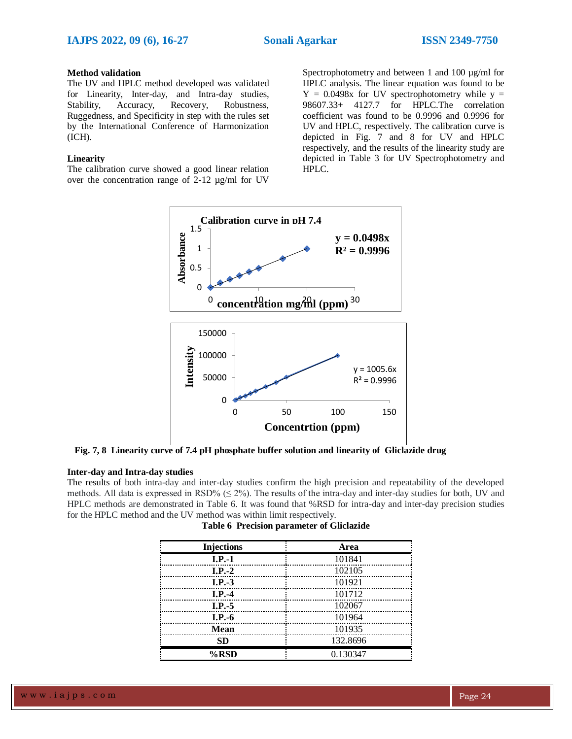## **Method validation**

The UV and HPLC method developed was validated for Linearity, Inter-day, and Intra-day studies, Stability, Accuracy, Recovery, Robustness, Ruggedness, and Specificity in step with the rules set by the International Conference of Harmonization (ICH).

# **Linearity**

The calibration curve showed a good linear relation over the concentration range of 2-12 µg/ml for UV

Spectrophotometry and between 1 and 100  $\mu$ g/ml for HPLC analysis. The linear equation was found to be  $Y = 0.0498x$  for UV spectrophotometry while  $y =$ 98607.33+ 4127.7 for HPLC.The correlation coefficient was found to be 0.9996 and 0.9996 for UV and HPLC, respectively. The calibration curve is depicted in Fig. 7 and 8 for UV and HPLC respectively, and the results of the linearity study are depicted in Table 3 for UV Spectrophotometry and HPLC.



**Fig. 7, 8 Linearity curve of 7.4 pH phosphate buffer solution and linearity of Gliclazide drug**

## **Inter-day and Intra-day studies**

The results of both intra-day and inter-day studies confirm the high precision and repeatability of the developed methods. All data is expressed in RSD%  $(\leq 2\%)$ . The results of the intra-day and inter-day studies for both, UV and HPLC methods are demonstrated in Table 6. It was found that %RSD for intra-day and inter-day precision studies for the HPLC method and the UV method was within limit respectively.

| <b>Injections</b> | Area     |
|-------------------|----------|
| $I.P.-1$          | 101841   |
| $I.P.-2$          | 102105   |
| $I.P.-3$          | 101921   |
| $I.P.-4$          | 101712   |
| $I.P.-5$          | 102067   |
| $I.P.-6$          | 101964   |
| <b>Mean</b>       | 101935   |
| <b>SD</b>         | 132.8696 |
| %RSD              | 0.130347 |

|  |  | <b>Table 6 Precision parameter of Gliclazide</b> |  |  |
|--|--|--------------------------------------------------|--|--|
|--|--|--------------------------------------------------|--|--|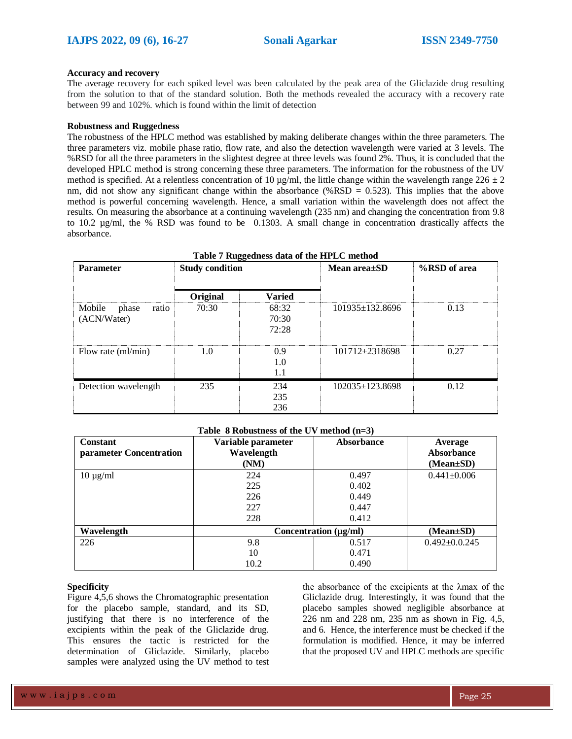#### **Accuracy and recovery**

The average recovery for each spiked level was been calculated by the peak area of the Gliclazide drug resulting from the solution to that of the standard solution. Both the methods revealed the accuracy with a recovery rate between 99 and 102%. which is found within the limit of detection

#### **Robustness and Ruggedness**

The robustness of the HPLC method was established by making deliberate changes within the three parameters. The three parameters viz. mobile phase ratio, flow rate, and also the detection wavelength were varied at 3 levels. The %RSD for all the three parameters in the slightest degree at three levels was found 2%. Thus, it is concluded that the developed HPLC method is strong concerning these three parameters. The information for the robustness of the UV method is specified. At a relentless concentration of 10  $\mu$ g/ml, the little change within the wavelength range 226  $\pm$  2 nm, did not show any significant change within the absorbance (%RSD =  $0.523$ ). This implies that the above method is powerful concerning wavelength. Hence, a small variation within the wavelength does not affect the results. On measuring the absorbance at a continuing wavelength (235 nm) and changing the concentration from 9.8 to 10.2 µg/ml, the % RSD was found to be 0.1303. A small change in concentration drastically affects the absorbance.

| Table 7 Ruggedness data of the HPLC method |                        |                         |                       |              |  |  |
|--------------------------------------------|------------------------|-------------------------|-----------------------|--------------|--|--|
| <b>Parameter</b>                           | <b>Study condition</b> |                         | Mean area $\pm$ SD    | %RSD of area |  |  |
|                                            | Original               | <b>Varied</b>           |                       |              |  |  |
| Mobile<br>phase<br>ratio<br>(ACN/Water)    | 70:30                  | 68:32<br>70:30<br>72:28 | $101935 \pm 132.8696$ | 0.13         |  |  |
| Flow rate (ml/min)                         | 1.0                    | 0.9<br>1.0<br>1.1       | $101712 \pm 2318698$  | 0.27         |  |  |
| Detection wavelength                       | 235                    | 234<br>235<br>236       | $102035 \pm 123.8698$ | 0.12         |  |  |

#### **Table 8 Robustness of the UV method (n=3)**

| <b>Constant</b><br>parameter Concentration | Variable parameter<br>Wavelength<br>(NM) | <b>Absorbance</b> | Average<br><b>Absorbance</b><br>$(Mean \pm SD)$ |
|--------------------------------------------|------------------------------------------|-------------------|-------------------------------------------------|
| $10 \mu g/ml$                              | 224                                      | 0.497             | $0.441 \pm 0.006$                               |
|                                            | 225                                      | 0.402             |                                                 |
|                                            | 226                                      | 0.449             |                                                 |
|                                            | 227                                      | 0.447             |                                                 |
|                                            | 228                                      | 0.412             |                                                 |
| Wavelength                                 | Concentration $(\mu g/ml)$               |                   | $(Mean \pm SD)$                                 |
| 226                                        | 9.8                                      | 0.517             | $0.492 \pm 0.0.245$                             |
|                                            | 10                                       | 0.471             |                                                 |
|                                            | 10.2                                     | 0.490             |                                                 |

#### **Specificity**

Figure 4,5,6 shows the Chromatographic presentation for the placebo sample, standard, and its SD, justifying that there is no interference of the excipients within the peak of the Gliclazide drug. This ensures the tactic is restricted for the determination of Gliclazide. Similarly, placebo samples were analyzed using the UV method to test

the absorbance of the excipients at the λmax of the Gliclazide drug. Interestingly, it was found that the placebo samples showed negligible absorbance at 226 nm and 228 nm, 235 nm as shown in Fig. 4,5, and 6. Hence, the interference must be checked if the formulation is modified. Hence, it may be inferred that the proposed UV and HPLC methods are specific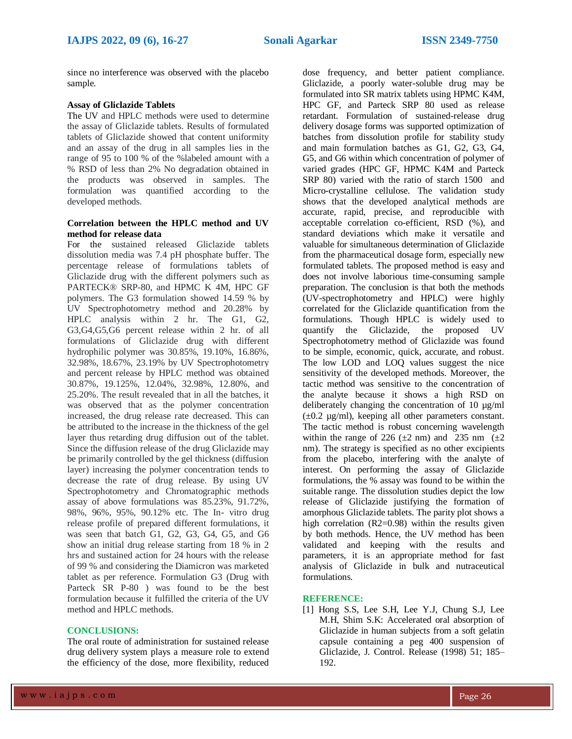since no interference was observed with the placebo sample.

# **Assay of Gliclazide Tablets**

The UV and HPLC methods were used to determine the assay of Gliclazide tablets. Results of formulated tablets of Gliclazide showed that content uniformity and an assay of the drug in all samples lies in the range of 95 to 100 % of the %labeled amount with a % RSD of less than 2% No degradation obtained in the products was observed in samples. The formulation was quantified according to the developed methods.

# **Correlation between the HPLC method and UV method for release data**

For the sustained released Gliclazide tablets dissolution media was 7.4 pH phosphate buffer. The percentage release of formulations tablets of Gliclazide drug with the different polymers such as PARTECK® SRP-80, and HPMC K 4M, HPC GF polymers. The G3 formulation showed 14.59 % by UV Spectrophotometry method and 20.28% by HPLC analysis within 2 hr. The G1, G2, G3,G4,G5,G6 percent release within 2 hr. of all formulations of Gliclazide drug with different hydrophilic polymer was 30.85%, 19.10%, 16.86%, 32.98%, 18.67%, 23.19% by UV Spectrophotometry and percent release by HPLC method was obtained 30.87%, 19.125%, 12.04%, 32.98%, 12.80%, and 25.20%. The result revealed that in all the batches, it was observed that as the polymer concentration increased, the drug release rate decreased. This can be attributed to the increase in the thickness of the gel layer thus retarding drug diffusion out of the tablet. Since the diffusion release of the drug Gliclazide may be primarily controlled by the gel thickness (diffusion layer) increasing the polymer concentration tends to decrease the rate of drug release. By using UV Spectrophotometry and Chromatographic methods assay of above formulations was 85.23%, 91.72%, 98%, 96%, 95%, 90.12% etc. The In- vitro drug release profile of prepared different formulations, it was seen that batch G1, G2, G3, G4, G5, and G6 show an initial drug release starting from 18 % in 2 hrs and sustained action for 24 hours with the release of 99 % and considering the Diamicron was marketed tablet as per reference. Formulation G3 (Drug with Parteck SR P-80 ) was found to be the best formulation because it fulfilled the criteria of the UV method and HPLC methods.

### **CONCLUSIONS:**

The oral route of administration for sustained release drug delivery system plays a measure role to extend the efficiency of the dose, more flexibility, reduced

dose frequency, and better patient compliance. Gliclazide, a poorly water-soluble drug may be formulated into SR matrix tablets using HPMC K4M, HPC GF, and Parteck SRP 80 used as release retardant. Formulation of sustained-release drug delivery dosage forms was supported optimization of batches from dissolution profile for stability study and main formulation batches as G1, G2, G3, G4, G5, and G6 within which concentration of polymer of varied grades (HPC GF, HPMC K4M and Parteck SRP 80) varied with the ratio of starch 1500 and Micro-crystalline cellulose. The validation study shows that the developed analytical methods are accurate, rapid, precise, and reproducible with acceptable correlation co-efficient, RSD (%), and standard deviations which make it versatile and valuable for simultaneous determination of Gliclazide from the pharmaceutical dosage form, especially new formulated tablets. The proposed method is easy and does not involve laborious time-consuming sample preparation. The conclusion is that both the methods (UV-spectrophotometry and HPLC) were highly correlated for the Gliclazide quantification from the formulations. Though HPLC is widely used to quantify the Gliclazide, the proposed UV Spectrophotometry method of Gliclazide was found to be simple, economic, quick, accurate, and robust. The low LOD and LOQ values suggest the nice sensitivity of the developed methods. Moreover, the tactic method was sensitive to the concentration of the analyte because it shows a high RSD on deliberately changing the concentration of 10 µg/ml  $(\pm 0.2 \text{ µg/ml})$ , keeping all other parameters constant. The tactic method is robust concerning wavelength within the range of 226 ( $\pm$ 2 nm) and 235 nm ( $\pm$ 2 nm). The strategy is specified as no other excipients from the placebo, interfering with the analyte of interest. On performing the assay of Gliclazide formulations, the % assay was found to be within the suitable range. The dissolution studies depict the low release of Gliclazide justifying the formation of amorphous Gliclazide tablets. The parity plot shows a high correlation (R2=0.98) within the results given by both methods. Hence, the UV method has been validated and keeping with the results and parameters, it is an appropriate method for fast analysis of Gliclazide in bulk and nutraceutical formulations.

#### **REFERENCE:**

[1] Hong S.S, Lee S.H, Lee Y.J, Chung S.J, Lee M.H, Shim S.K: Accelerated oral absorption of Gliclazide in human subjects from a soft gelatin capsule containing a peg 400 suspension of Gliclazide, J. Control. Release (1998) 51; 185– 192.